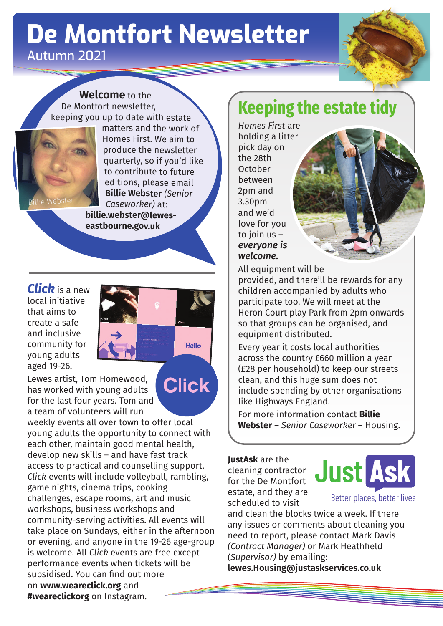# **De Montfort Newsletter** Autumn 2021



**Welcome** to the De Montfort newsletter,



keeping you up to date with estate matters and the work of Homes First. We aim to produce the newsletter quarterly, so if you'd like to contribute to future editions, please email **Billie Webster** *(Senior Caseworker)* at: **billie.webster@lewes-**

Hello

**Click** 

**eastbourne.gov.uk**

*Click* is a new local initiative that aims to create a safe and inclusive community for young adults aged 19-26.

Lewes artist, Tom Homewood, has worked with young adults for the last four years. Tom and a team of volunteers will run

weekly events all over town to offer local young adults the opportunity to connect with each other, maintain good mental health, develop new skills – and have fast track access to practical and counselling support. *Click* events will include volleyball, rambling, game nights, cinema trips, cooking challenges, escape rooms, art and music workshops, business workshops and community-serving activities. All events will take place on Sundays, either in the afternoon or evening, and anyone in the 19-26 age-group is welcome. All *Click* events are free except performance events when tickets will be subsidised. You can find out more on **www.weareclick.org** and **#weareclickorg** on Instagram.

## **Keeping the estate tidy**

*Homes First* are holding a litter pick day on the 28th October between 2pm and 3.30pm and we'd love for you to join us – *everyone is welcome.*

All equipment will be

provided, and there'll be rewards for any children accompanied by adults who participate too. We will meet at the Heron Court play Park from 2pm onwards so that groups can be organised, and equipment distributed.

Every year it costs local authorities across the country £660 million a year (£28 per household) to keep our streets clean, and this huge sum does not include spending by other organisations like Highways England.

For more information contact **Billie Webster** – *Senior Caseworker* – Housing.

**JustAsk** are the cleaning contractor for the De Montfort estate, and they are scheduled to visit



and clean the blocks twice a week. If there any issues or comments about cleaning you need to report, please contact Mark Davis *(Contract Manager)* or Mark Heathfield *(Supervisor)* by emailing: **lewes.Housing@justaskservices.co.uk**